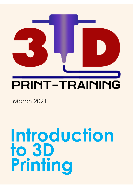

# **PRINT-TRAINING**

March 2021

# **Introduction to 3D Printing**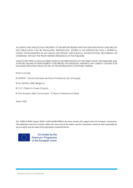*ALL RIGHTS AND INTELLECTUAL PROPERTY OF THIS REPORT RESIDES WITH THE ORGANISATIONS LISTED BELOW THIS PUBLICATION CAN BE TRANSLATED, REPRODUCED, STORED IN OR INTRODUCED INTO A RETRIEVAL SYSTEM, OR TRANSMITTED, BY ANY MEANS, ELECTRONIC, MECHANICAL, PHOTOCOPYING, RECORDING, OR OTHERWISE, WITHOUT THE PRIOR WRITTEN PERMISSION OF THE PUBLISHER.* 

*WHILST EVERY PRECAUTION HAS BEEN TAKEN IN THE PREPARATION OF THE PUBLICATION, THE PUBLISHER AND AUTHORS ASSUME NO RESPONSIBILITY FOR ERRORS OR OMISSIONS. NEITHER IS ANY LIABILITY ASSUMED FOR DAMAGES RESULTING FROM THE USE OF THE INFORMATION CONTAINED THEREIN.*

© EU15 Ltd (UK)

© CEPROF - Centros Escolares de Ensino Profissional Lda. (Portugal)

© ALL DIGITAL AISBL (Belgium)

© C.I.P. Citizens in Power (Cyprus)

© Polo Europeo della Conoscenza - IC Bosco Chiesanuova (Italy)

March 2021

*This THREE-D-PRINT project (2020-1-UK01-KA204-078911) has been funded with support from the European Commission. This publication and all its contents reflect the views only of the author, and the Commission cannot be held responsible for any use which may be made of the information contained therein.*



Co-funded by the Erasmus+ Programme of the European Union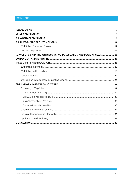# **CONTENTS**

| IMPACT OF 3D PRINTING ON INDUSTRY, WORK, EDUCATION AND SOCIETAL NEEDS  15 |
|---------------------------------------------------------------------------|
|                                                                           |
|                                                                           |
|                                                                           |
|                                                                           |
|                                                                           |
|                                                                           |
|                                                                           |
|                                                                           |
|                                                                           |
|                                                                           |
|                                                                           |
|                                                                           |
|                                                                           |
|                                                                           |
|                                                                           |
|                                                                           |
|                                                                           |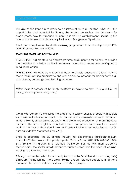# <span id="page-3-0"></span>INTRODUCTION

The aim of this Report is to produce an introduction to 3D printing, what it is, the opportunities and potential for its use, the impact on society, the prospects for employment, how to introduce 3D printing in training establishments, including the type of hardware and software required, and a few general 'tips/tricks'.

This Report complements two further training programmes to be developed by THREE-D-PRINT project Partners in 2021:

# **TEACHING MATERIALS FOR TRAINERS:**

THREE-D-PRINT will create a training programme on 3D printing for trainers, to provide them with the knowledge and tools to develop a teaching programme on 3D printing in adult education.

THREE-D-PRINT will develop a teaching pack to enable educators to learn how to teach the 3D printing programme and provide course materials for their students e.g., assignments, quizzes, general learning materials.

*NOTE: These 2 outputs will be freely available to download from 1st August 2021 at <https://www.3dprint-training.com/>*

Worldwide pandemic multiplies the problems in supply chains, especially in sectors such as manufacturing and logistics. The spread of coronavirus has caused disruptions in many plants, disrupted supply chains and prevented production at many industrial factories. This time of global crisis forces most companies to review their current working methods and consider implementing new tools and technologies: such as 3D printing (Additive Manufacturing (AM)).

Since its beginning, the 3D printing industry has experienced significant growth, evident in Wohlers Associates' yearly reports (Wohlers Report 2019 ISBN 978-0-9913332- 5-7). Behind this growth is a talented workforce. But, as with most disruptive technologies, the sector growth happens much quicker than the pace of learning, leading to a talented workforce.

This lag has created what is commonly known as the 'Additive Manufacturing (AM) Skills Gap'; the notion that there are simply not enough talented people to fill jobs and thus meet the needs and demand from the AM employers.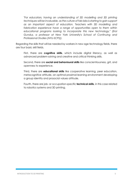*"For educators, having an understanding of 3D modelling and 3D printing techniques will be invaluable, as the culture of fab labs is starting to gain support as an important aspect of education. Teachers with 3D modelling and fabrication experience have a range of opportunities open to them within educational programs looking to incorporate this new technology," (Erol Gunduz, a professor at New York University's School of Continuing and Professional Studies (NYU-SCPS)).* 

Regarding the skills that will be needed by workers in new age technology fields, there are four basic skill fields.

First, there are **cognitive skills**, which include digital literacy, as well as advanced problem-solving and creative and critical thinking skills.

Second, there are **social and behavioural skills** like conscientiousness, grit, and openness to experience.

Third, there are **educational skills** like cooperative learning, peer education, metacognitive attitude, an optimal proximal learning environment developing a group identity and prosocial values attitude.

Fourth, there are job- or occupation-specific **technical skills**, in this case related to robotics systems and 3D printing.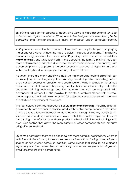# <span id="page-5-0"></span>WHAT IS 3D PRINTING?

*3D printing refers to the process of additively building a three-dimensional physical object from a digital model data (Computer Aided Design or scanned object) file by depositing and forming successive layers of material under computer control.*

A 3D printer is a machine that can turn a blueprint into a physical object by applying material layer by layer without the need to adjust the production tooling. This additive manufacturing process is the reason why 3D printing is also referred to as "**additive manufacturing**", and while technically more accurate, the term 3D printing has been more enthusiastically adopted due to mainstream media diffusion. The analogy with document printing also presents the basic underlying concept of depositing material with a printing head to bring a specified object into existence.

However, there are many underlying additive manufacturing technologies that can be used (e.g. stereolithography, laser sintering, fused deposition modelling), which allow various degrees of precision and sophistication. While in principle the printed objects can be of almost any shape or geometry, their characteristics depend on the underlying printing technology and the materials that can be employed. With advanced 3D printers it is also possible to create assembled objects with internal, movable parts. The time it takes to print a full object however increases with the level of detail and complexity of the object.

The technology is significant because it offers **direct manufacturing**, meaning a design goes directly from designer to physical product through a computer and a 3D printer. It brings a revolutionary approach to manufacturing through three key advantages shorter lead time, design freedom, and lower costs. It thus enables rapid and low-cost prototyping, manufacturing end-use products (direct digital manufacturing) and producing tooling that allows the manufacture of other components and products using different methods.

*3D printed parts allow them to be designed with more complex architectures whereas with little additional costs, for example, the structure with hollowing, holes, atypical shapes or rich interior details. In addition, some pieces that used to be moulded separately and then assembled can now be produced as one piece in a single run, even for some precision components.*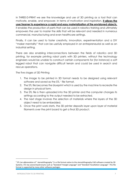In THREE-D-PRINT we see the knowledge and use of 3D printing as a tool that can motivate, enable, and empower. In terms of motivation and inspiration, **it allows the user/learner to experience a rapid and easy materialization of the envisioned objects,** it enables the production of parts that can be used in robotics training and ultimately empowers the user to master the skills that will be relevant and needed in numerous commercial, manufacturing and even healthcare settings.

Finally, it can be used to foster creativity, innovation, experimentation and a DIY "maker mentality" that can be usefully employed in an entrepreneurial as well as an industrial setting.

There are also enabling interconnections between the fields of robotics and 3D printing, for example printing robot parts with 3D printers, without the technology engineers would be unable to construct certain components for (for instance) a soft legged robot that can navigate difficult terrain and could be used in search and rescue operations.

The five stages of 3D Printing

- 1. The image to be printed in 3D format needs to be designed using relevant software and saved as the STL<sup>1</sup> file format.
- 2. The STL file becomes the blueprint which is used by the machine to recreate the design in physical form.
- 3. The STL file is then uploaded into the 3D printer and the computer changes its settings according to the output needed to be extracted.
- 4. The next stage involves the selection of materials where the layers of the 3D object need to be embedded.
- 5. Once the print work starts, the 3D printer deposits layer upon layer of material filaments over the print board to get a final 3D product.

 $^1$  STL (an abbreviation of " stereolithography ") is a file format native to the stereolithography CAD software created by 3D Systems. STL has several backronyms such as "Standard Triangle Language" and "Standard Tessellation Language". This file format is supported by many other software packages.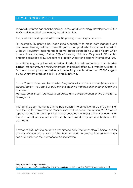# <span id="page-7-0"></span>THE WORLD OF 3D PRINTING

Today's 3D printers had their beginnings in the rapid technology development of the 1980s and found their use in many industrial sectors.

The possibilities and opportunities that 3D printing is creating are endless.

For example, 3D printing has been used successfully to make both standard and customized hearing aid shells, dental implants, and prosthetic limbs, sometimes within 24 hours. Previously, implants had to be validated before being used clinically, which is very time-consuming. Today, 99% of hearing aids are 3D printed. 3D printed anatomical models allow surgeons to properly understand organs' internal structure.

In addition, surgical guides with a better visualization assist surgeons to plan detailed surgical procedures. As a result, it increases the clinical efficacy, lowers the surgical risk from errors, and produces better outcomes for patients. More than 70,000 surgical guide units were produced in 2013 using 3D printing.

*"…. In 10 years' time, who knows what the printer will look like. It is already capable of self-replication – you can buy a 3D printing machine that can print another 3D printing machine.."* 

*Professor John Bryson, professor in enterprise and competitiveness at the University of Birmingham.*

This has also been highlighted in the publication "The disruptive nature of 3D printing" from the Digital Transformation Monitor from the European Commission (2017) <sup>2</sup> which reports that by 2021 the 3D printing market could be worth €9.6 billion. However, whilst the uses of 3D printing are endless in the real world, they are also limitless in the classroom.

*Advances in 3D printing are being announced daily. The technology is being used for all kinds of applications, from building human hearts, to building houses! Even NASA has a 3D printer on the International Space Station.*

<sup>2</sup> https://ec.europa.eu/growth/tools

databases/dem/monitor/sites/default/files/DTM\_The%20disruptive%20nature%20of%203D%20printing%20v1.pdf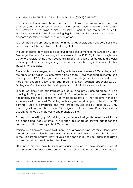According to the EU Digital Education Action Plan (DEAP) 2021-2027<sup>3</sup>

'…rapid digitalisation over the past decade has transformed many aspects of work and daily life. Driven by innovation and technological evolution, the digital transformation is reshaping society, the labour market and the future of work. Employers face difficulties in recruiting highly skilled workers across a number of economic sectors, including in the digital sector.

Too few adults are up- and re-skilling to fill these vacancies, often because training is not available at the right time and in the right place.

The use of digital technologies is also crucial for achievement of the European Green Deal objectives and for reaching climate neutrality by 2050. Digital technologies are powerful enablers for the green economic transition, including for moving to a circular economy and decarbonising energy, transport, construction, agriculture and all other industries and sectors…'

The jobs that are emerging and opening with the development of 3D printing are in the areas of 3D design, 3D computer-aided design (CAD) modelling, research, and development (R&D), biological and scientific modelling, architecture/construction modelling, education, law and legal professions, new business opportunities, 3D-Printing-as-a-Service franchises and operations and administrative positions.

Jobs for designers who can translate a product idea into 3D printed objects will be opening in 3D printing firms, as part of 3D design teams in companies and as freelancers. Such job seekers will be most competitive if they acquire hands-on experience with the latest 3D printing technologies and stay up to date with how 3D printing is used in companies and work processes. Job seekers skilled in 3D CAD modelling will support the work of 3D designers, both for mass 3D printing and for custom designed 3D prototyping and manufacturing.

To help fill the skills gap 3D printing programmes at all grade levels need to be developed and widely offered. This will open jobs for educators who can teach the technical and business aspects of 3D printing.

Training institutions are looking to 3D printing as a point of exposure for students within the Arts as well as scientific areas of study. Teachers will need to have a background in the 3D printing industry. They will also need specific skill sets to teach specialized courses and stay current on the latest trends.

3D printing presents new business opportunities as well as new (including social) entrepreneurial models based on transforming digital data into physical objects in

<sup>3</sup> [https://ec.europa.eu/education/education-in-the-eu/digital-education-action-plan\\_en](https://ec.europa.eu/education/education-in-the-eu/digital-education-action-plan_en)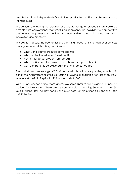remote locations, independent of centralized production and industrial areas by using "printing hubs".

In addition to enabling the creation of a greater range of products than would be possible with conventional manufacturing, it presents the possibility to democratize design and empower communities by decentralizing production and promoting innovation and creativity.

In industrial markets, the economics of 3D printing needs to fit into traditional business management models asking questions such as:

- What is the cost to produce components?
- What will be the return on investment?
- How is intellectual property protected?
- What liability does the business face should components fail?
- Can components be delivered in the timeframes needed?

The market has a wide range of 3D printers available, with corresponding variations in price; the Quintessential Universal Building Device is available for less than \$200, whereas MakerBot's Replicator Z18 model costs \$6,500.

With 3D printers becoming more affordable some libraries are providing 3D printing stations for their visitors. There are also commercial 3D Printing Services such as 3D Quick Printing (UK)- All they need is the CAD data, .stl file or step files and they can 'print' the item.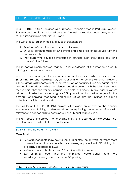# <span id="page-10-0"></span>THE THREE-D-PRINT PROJECT - ORIGINS

In 2018, EU15 Ltd (in association with European Partners based in Portugal, Sweden, Slovenia and Austria) conducted an extensive web-based European survey relating to 3D printing training activities in Europe.<sup>4</sup>

The Survey focused on three key groups of stakeholders:

- 1. Providers of vocational education and training.
- 2. SMEs as potential users of 3D printing and employers of individuals with the necessary skills.
- 3. Individuals who could be interested in pursuing such knowledge, skills, and careers in the future.

The responses clearly showed that skills and knowledge at the intersection of 3D printing will be in future demand.

In terms of education, jobs for educators who can teach such skills, in respect of both 3D printing itself and interdisciplinary connection and intersections with other fields and subject areas, will become another emerging job opportunity. Such educators will be needed in the Arts as well as the Sciences and stay current with the latest trends and technologies that the various industries and fields will adopt. Many legal questions related to intellectual property rights of 3D printed products will emerge with the possibility of copying, modifying, and selling 3D designs that infringe on existing patents, copyrights, and brands.

The results of this THREE-D-PRINT project will provide an answer to the general educational and training challenges related to equipping the future workforce with relevant and needed skills to participate in the 3D printing revolution.

The key focus of the project is on providing entry-level, easily accessible courses that could motivate adults with fewer qualifications.

# <span id="page-10-1"></span>3D PRINTING EUROPEAN SURVEY

#### **Main Results**

- 36% of respondents knew how to use a 3D printer. The answers show that there is a need for additional education and training opportunities in 3D printing that are easily accessible to SMEs.
- 45% of respondents already use 3D printing in their company.
- 82% of SMEs thought that their employees would benefit from more knowledge/training about the use of 3D printing.

<sup>4</sup> Robotics – Training for the New Age (ROTENA) Reference: 2016-1-UK01-KA202-024437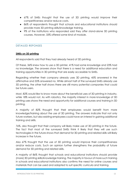- 67% of SMEs thought that the use of 3D printing would improve their competitiveness and/or reduce costs.
- 86% of respondents thought that schools and educational institutions should provide more 3D printing skills/knowledge training.
- 9% of the institutions who responded said they offer stand-alone 3D printing courses. However, 33% offered some kind of module.

# <span id="page-11-0"></span>DETAILED REPONSES

# **SMEs on 3D printing**

All respondents said that they had already heard of 3D printing.

Of these, 36% knew how to use a 3D printer, 41% had some knowledge and 23% had no knowledge. The answers show that there is a need for additional education and training opportunities in 3D printing that are easily accessible to SMEs.

Regarding whether their company already uses 3D printing, 45% answered in the affirmative and 55% answered no. While almost half of the surveyed SMEs already use 3D printing, the other half shows there are still many potential companies that could be future users.

Most, 82% would like to know more about the beneficial uses of 3D printing in industry, while 18% would not. As with robotics, the majority interest in more knowledge of 3D printing uses shows the need and opportunity for additional courses and training in 3D printing.

A majority of 82% thought that their employees would benefit from more knowledge/training about the use of 3D printing. The answers indicate that not only future workers, but also existing employees could have an interest in gaining additional training and skills.

76%, also thought that their company will likely make use of 3D printing in the future. The fact that most of the surveyed SMEs think it likely that they will use such technologies in the future shows that demand for 3D printing and related skills will likely increase in the future.

Also 67% thought that the use of 3D printing would improve their competitiveness and/or reduce costs. Such an opinion further strengthens the probability of future demand for 3D printing and related skills.

A majority of 86% thought that schools and educational institutions should provide (more) 3D printing skills/knowledge training. The majority in favour of more such training in schools and educational institutions also confirms the need for online courses and materials that can be used and adapted to suit specific curricula and training.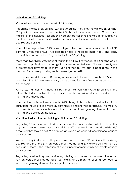# **Individuals on 3D printing**

99% of all respondents have heard of 3D printing.

Regarding the use of 3D printing, 22% answered that they knew how to use 3D printing, 52% partially knew how to use it, while 26% did not know how to use it. Given that a majority of the individual respondents had only partial or no knowledge of 3D printing use, this indicates a need and possible demand for additional, easily accessible online courses and training.

Most of the respondents, 94% have not yet taken any course or module about 3D printing. Given this answer, we can again see a need for more freely and easily accessible courses and training on the topic of 3D printing.

More than two thirds, 72% thought that in the future, knowledge of 3D printing could give them a professional advantage in job seeking or their work. Since a majority see a professional advantage in more such knowledge, we can expect a rise in the demand for courses providing such knowledge and skills.

If a course or module about 3D printing were available for free, a majority of 70% would consider taking it. The answer clearly shows a need for more free courses and training on the topic.

A little less than half, 46% thought it likely that their work will involve 3D printing in the future. This further confirms the need and possibly a growing future demand for such training and knowledge.

Most of the individual respondents, 84% thought that schools and educational institutions should provide more 3D printing skills and knowledge training. The majority of affirmative responses further indicate a need and future growing demand for more training and courses on the topic.

# **Vocational education and training institutions on 3D printing**

Regarding 3D printing, we asked the representatives of institutions whether they offer any stand-alone courses about 3D printing. 9% answered that they do, while 91% answered that they do not. We can see an even greater need for additional courses on 3D printing.

We further inquired whether they offer any modules about 3D printing within existing courses, and this time 33% answered that they do, and 67% answered that they do not. Again, there is the indication of a clear need for more easily accessible courses on 3D printing.

Regarding whether they are considering offering such courses or modules in the future, 77% answered that they do have such plans. Future plans for offering such courses indicate a growing demand for adaptable courses.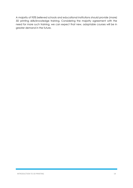A majority of 95% believed schools and educational institutions should provide (more) 3D printing skills/knowledge training. Considering the majority agreement with the need for more such training, we can expect that new, adaptable courses will be in greater demand in the future.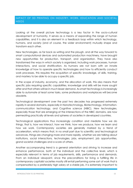# <span id="page-14-0"></span>IMPACT OF 3D PRINTING ON INDUSTRY, WORK, EDUCATION AND SOCIETAL NEEDS

Looking at the overall picture technology is a key factor in the socio-cultural development of humanity. It serves as a means of expanding the range of human capabilities, and it is also an element in a feedback loop within which technology, humans, and society (and of course, the wider environment) mutually shape and transform each other.

New technologies, as far back as writing and the plough, and all the way forward to smart computational devices and automated production machinery, have brought new opportunities for production, transport, and organization. They have also transformed the ways in which society is organized, including work processes, human interactions, and social stratification. As humans are not born with an innate knowledge of how to operate specific technologies and how to efficiently conduct work processes, this requires the acquisition of specific knowledge, of skills, training, and mastery to be able to occupy a specific job.

In the scope of industry, economy, and the allocation of work, this also means that specific jobs requiring specific capabilities, knowledge and skills will be more sought after and that others will be in much lesser demand. As smart technology is increasingly able to automate at least some tasks, some professions and workplaces will become obsolete.

Technological development over the past two decades has progressed extremely rapidly in several domains, especially in Nanotechnology, Biotechnology, Informationcommunication technology, and Cognitive science (NBIC). New technologies, especially those that are emerging at the intersections of the NBIC domains, are now permeating practically all levels and spheres of societies in developed countries.

Technological applications thus increasingly condition and mediate how we do things, that is, how we interact, how we think, how we produce, how we learn and how we work. Contemporary societies are generally marked by a trend of acceleration, which means that, in no small part due to scientific and technological advances, things are changing more and more rapidly, whether we are talking about institutions, social interactions, technologies, jobs, employment, job opportunities, grand societal challenges and a score of others.

Another accompanying trend is a general orientation and striving to increase and enhance performance, both at the individual and the collective level, which is especially relevant in terms of job requirements, skills, performance and demands. From an individual viewpoint, since the preconditions for living a fulfilling life in contemporary capitalist societies mostly still entail performing some sort of work that is compensated by a preferably high salary at a stable job, it is extremely important to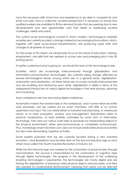have the necessary skills, know-how and experience to be able to compete for and enter such jobs. From a collective, societal perspective it is necessary to ensure that qualified workers are available to fill the demand for jobs that are opening due to new developments and new opportunities, and that relate to addressing societal challenges, needs and wants.

The current social technological context in which modern, technological capitalist societies are currently located, is strongly marked by technological innovations, which, together with rapid sociocultural transformations, are producing rapid shifts and changes in all spheres of society.

For the scope of this report, we will primarily focus on the areas of education, training, employment, and skills that are needed to access new and emerging jobs in the 3D printing sector.

To better understand what is going on, we should first look at the technological side.

Societies, which are increasingly interconnected through globalization and information-communication technologies, are currently being strongly affected by several technological trends, among which are, in a general sense, digitalization, automation and robotization. All these trends are of course mutually interconnected and are enabling and reinforcing each other. Digitalization is visible in terms of the widespread introduction of various digital technologies in the work process, planning and monitoring.

Many workplaces are now becoming digital workplaces.

Automation means that several tasks in the workplaces, and in some instances entire work processes, can be carried out by smart machines, with little or no human supervision and input. This can relate either to industrial manufacturing, to warehouse robots, or to data acquisition, analysis, and management. Robotization refers to physical manipulators, at least partially controlled by some form of information technology, that carry out various work tasks or processes by manipulating objects in the physical environment, either semi-autonomously or completely autonomously. Thus, increasingly smart machines can carry out not just predictable physical activities but also more demanding cognitive activities.

Some experts postulate that we are currently located during a new industrial revolution, what Brynjolfsson and McAfee term as The Second Machine Age or what others have called The Fourth Industrial Revolution or Industry 4.0.

While the First Machine Age was marked by the automation of physical tasks through mechanization, the second is characterized by the automation of cognitive tasks through digital technologies. The progress in the development of the underlying enabling technologies is exponential, the technologies are mostly digital and are driving the digitalization of previously solely physical objects and processes, and they are capable of combinatorial reinforcement, meaning that robots can be directed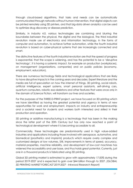through cloud-based algorithms, that tasks and needs can be automatically communicated through networks without human intervention, that digital objects can be printed remotely using 3D printers, and that big-data driven analytics can be used to optimize drug discovery or disease prediction.

Similarly, in Industry 4.0, various technologies are combining and blurring the boundaries between the physical, the digital and the biological. The third industrial revolution made use of electronics and information technology, in the forms of computer and automation, to achieve further automation, while the fourth industrial revolution is based on cyber-physical systems that are increasingly connected and smart.

The distinctive features of the fourth industrial revolution are that the speed of progress is exponential, that the scope is widening, and has the potential to be a 'disruptive technology'. It is having a systemic impact, for example on production (workplaces), on management (organizations, companies) and on public policies (economy, employment, education).

There are numerous technology fields and technological applications that are likely to have disruptive impacts in the coming years and decades. Expert literature and the media are full of speculation on how the internet of things, 3D printing, social robots, artificial intelligence, expert systems, smart personal assistants, self-driving cars, quantum computers, robotic exo-skeletons and other features that were once only in the domain of Science Fiction, will transform our lives and societies.

For the purposes of the THREE-D-PRINT project, we have focused on 3D printing which we have identified as having the greatest potential and urgency in terms of new opportunities for work and employment, impacts on industry and entrepreneurship and a societal need for students and workers both interested and skilled in their production and operation.

3D printing or additive manufacturing is a technology that has been in the making since the latter part of the 20th Century but has only now reached a point of technological development where it is becoming accessible to all.

Commercially, these technologies are predominantly used in high value-added industries and applications including those involved with aerospace, automotive, and biomedical (prosthetics and implants) products which require overly complex and customized designs at low volumes. Still, improvements in terms of speed, accuracy, material properties, machine reliability, and development of low-cost machines has widened the accessibility and user base, and thus holds great potential. Currently, just one in a thousand products is fabricated using 3D printing.

Global 3D printing market is estimated to grow with approximately 17.00% during the period 2019-2027 and is expected to gain over \$44 billion through to 2027. *(GLOBAL 3D PRINTING MARKET FORECAST 2019-2027 - Inkwood Research Report)*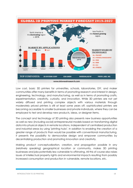

Low cost, basic 3D printers for universities, schools, laboratories, DIY, and maker communities offer many benefits in terms of promoting research and interest in design, engineering, technology, and manufacturing, as well as in terms of promoting crafts, experimentation, creativity, curiosity, and innovation. While 3D printers are not yet widely diffused and printing complex objects with various materials through moderately priced printers is still at least some years off, sophisticated printers are becoming accessible to smaller businesses and private individuals, where they can be employed to test and develop new products, ideas, or designer items.

The concept and technology of 3D printing also presents new business opportunities as well as new (including social) entrepreneurial models based on transforming digital data into physical objects in remote locations, independent of centralized production and industrial areas by using "printing hubs". In addition to enabling the creation of a greater range of products than would be possible with conventional manufacturing, it presents the possibility to democratize design and empower communities by decentralizing production and promoting innovation and creativity.

Making product conceptualization, creation, and propagation possible in any (relatively speaking) geographical location or community, makes 3D printing businesses and jobs potentially less vulnerable to offshoring. All this of course also raises issues of intellectual property rights and environmental impacts resulting from possibly increased consumption and production in vulnerable, remote locations, etc.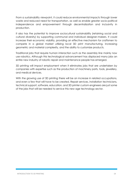From a sustainability viewpoint, it could reduce environmental impacts through lower waste and reduced need for transportation, as well as enable greater socio-political independence and empowerment through decentralization and inclusivity in production.

It also has the potential to improve sociocultural sustainability (retaining social and cultural diversity) by supporting communal and individual designer-makers. It could increase their economic viability, providing an effective mechanism for craftsmen to compete in a global market utilizing local 3D print manufacturing, increasing geometric and material complexity, and the ability to customize products.

Traditional jobs that require human interaction such as the assembly line mainly now use robotics. Although this technological advancement has displaced many jobs an entire new industry of robotic repair and maintenance people has emerged.

3D printing will impact employment when it eliminates jobs that are undertaken by companies with expertise such as the production of machinery parts, tools, jewellery, and medical devices.

With the growing use of 3D printing there will be an increase in related occupations, and even a few that will have to be created. Repair services, installation technicians, technical support, software, education, and 3D printer custom engineers are just some of the jobs that will be needed to service this new age technology sector.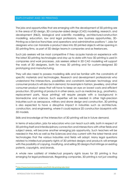# <span id="page-19-0"></span>EMPLOYMENT AND 3D PRINTING

The jobs and opportunities that are emerging with the development of 3D printing are in the areas of 3D design, 3D computer-aided design (CAD) modelling, research, and development (R&D), biological and scientific modelling, architecture/construction modelling, education, law and legal professions, new business opportunities, 3D-Printing-as-a-Service franchises and operations and administrative positions <sup>5</sup>. Jobs for designers who can translate a product idea into 3D printed objects will be opening in 3D printing firms, as part of 3D design teams in companies and as freelancers.

Such job seekers will be most competitive if they acquire hands-on experience with the latest 3D printing technologies and stay up to date with how 3D printing is used in companies and work processes. Job seekers skilled in 3D CAD modelling will support the work of 3D designers, both for mass 3D printing and for custom-designed 3D prototyping and manufacturing.

They will also need to possess modelling skills and be familiar with the constraints of specific materials and technologies. Research and development professionals who understand the intersections, possibilities and constraints between technology and consumer products will also be in demand, for example in fashion, jewellery, and other consumer product areas that will have to keep an eye on lowest costs and efficient production. 3D printing of products in other areas, such as medicine (e.g., prosthetics, replacement parts, tissue printing) will require people with a background in biomedicine and science. Such expertise will be needed in other high-precision industries such as aerospace, military and drone design and construction. 3D printing is also expected to have a disruptive impact in industries such as architecture, construction, and engineering, where it could replace 2D construction blueprints with 3D models.

Skills and knowledge at the intersection of 3D printing will be in future demand.

In terms of education, jobs for educators who can teach such skills, both in respect of 3D printing itself and interdisciplinary connection and intersections with other fields and subject areas, will become another emerging job opportunity. Such teachers will be needed in the Arts as well as the Sciences and stay current with the latest trends and technologies that the various industries and fields will adopt. Many legal questions related to intellectual property rights of 3D printed designs and products will emerge with the possibility of copying, modifying, and selling 3D designs that infringe on existing patents, copyrights, and brands.

A whole new subfield of intellectual property rights issues for 3D printing is thus emerging for legal professionals. Regarding companies, 3D printing is not just creating

<sup>5</sup> <http://www.businessnewsdaily.com/5125-3d-printing-jobs.html>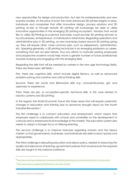new opportunities for design and production, but also for entrepreneurship and new business models. As the price of even the more advanced 3D printers begins to drop, individuals and companies that offer innovative design, process solutions and 3D printing on-site or through remote 3D printing will increasingly be able to utilize innovative opportunities in the emerging 3D printing ecosystem. Vendors that would like to utilize 3D-Printing-as-a-Service franchises could provide 3D printing services to local businesses, entrepreneurs, or individuals in retail stores. Regarding operations and administrative jobs in 3D printing, as new businesses based around 3D printing spring up, they will require other, more common jobs, such as salespersons, administrators, etc. Speaking generally, a 3D printing technician is an emerging profession or career, something that did not exist before, thus any efforts to motivate existing employees and prospective students would help move a greater number of future professionals towards studying and engaging with this emerging field.

Regarding the skills that will be needed by workers in the new age technology fields, there are three basic skill fields 6.

First, there are cognitive skills, which include digital literacy, as well as advanced problem-solving and creative and critical thinking skills.

Second, there are social and Behavioral skills e.g. conscientiousness, grit, and openness to experience.

Third, there are job- or occupation-specific technical skills, in this case related to robotics systems and 3D printing.

In this regard, the World Economic Forum lists three areas that will require systematic changes in education and training due to advances brought about by the Fourth Industrial Revolution.<sup>7</sup>

The first challenge is to connect education and employment, which means that employers need to collaborate with schools and universities on the development of curricula and a shared practical knowledge of the market. The education system also needs to adopt a stronger focus on lifelong learning.

The second challenge is to improve forecasts regarding industry and the labour market, so that governments, businesses, and individuals are able to react quickly and appropriately.

The third challenge is disrupting education and labour policy, related to improving the quality and relevance of learning, government policies that would ensure the required skills are taught to the national workforce.

<sup>6</sup> <https://www.brookings.edu/blog/future-development/2016/03/01/preparing-for-the-robots-which-skills-for-21st-century-jobs/>

<sup>7</sup> <https://www.weforum.org/agenda/2016/01/what-is-the-future-of-work/>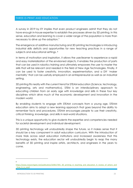# <span id="page-21-0"></span>THREE-D-PRINT AND EDUCATION

A survey in 2019 by EY implies that even product engineers admit that they do not have enough in-house expertise to establish the processes driven by 3D printing. In this sense, education and learning to cover a wider range of the population is more than necessary to drive up the adoption."

The emergence of additive manufacturing and 3D printing technologies is introducing industrial skills deficits and opportunities for new teaching practices in a range of subjects and educational settings. <sup>8</sup>

In terms of motivation and inspiration, it allows the user/learner to experience a rapid and easy materialization of the envisioned objects, it enables the production of parts that can be used in robotics training and ultimately empowers the user to master the skills that will be relevant and needed in the field of New Age Technologies. Finally, it can be used to foster creativity, innovation, experimentation, and a DIY 'maker mentality' that can be usefully employed in an entrepreneurial as well as an industrial setting.

3D printing fits neatly with the current trend for STEAM education (Science, technology, engineering, arts and mathematics). STEM is an interdisciplinary approach to educating children from an early age with knowledge and skills in these four key disciplines which drive much of the economic development and innovation in the modern world.

By enabling students to engage with STEAM concepts from a young age, STEAM education aims to adopt a new learning approach that goes beyond the ability to remember facts and procedures. STEAM encourages people to use their creativity, critical thinking, knowledge, and skills in real-world situations.

This is a unique opportunity to give students the expertise and competencies needed for societal development and individual development.

3D printing technology will undoubtedly shape the future, so it makes sense that it should be a key component in adult education curriculum. With the introduction of more trials across adult education institutions and increased awareness that this technology exists, the education sector will undoubtedly begin to reap the many benefits of 3D printing and inspire artists, architects, and engineers in the years to come.

8

[https://www.researchgate.net/publication/320617391\\_3D\\_printing\\_in\\_teaching\\_and\\_education\\_A\\_review\\_of\\_where\\_and](https://www.researchgate.net/publication/320617391_3D_printing_in_teaching_and_education_A_review_of_where_and_how_it_is_used) how it is used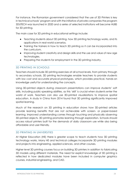For instance, the Romanian government considered that the use of 3D Printers is key in technical schools' program and with the initiative of private companies the program 3DUTECH was launched in 2020 and a series of selected institutions will become HUBS for 3D printing.

The main case for 3D printing in educational settings include:

- Teaching students about 3D printing, how 3D printing technology works, and its applications in real-world scenarios.
- Training the trainers in how to teach 3D printing so it can be incorporated into the curriculum.
- Improving student creativity and design skills and the use and value of new age technologies.
- Preparing the students for employment in the 3D printing industry.

# <span id="page-22-0"></span>3D PRINTING IN SCHOOLS

Teachers should include 3D printing exercises at all school levels, from primary through to secondary schools. 3D printing technologies enable teachers to provide students with low cost and accurate physical prototypes, which provides practical, hands-on knowledge useful for understanding the concepts.

Using 3D-printed objects during classroom presentations can improve students' soft skills, including public-speaking abilities, as this 'skill' is crucial when students enter the world of work. Teachers can also use 3D-printed visualizations to improve spatial education. A study in China from 2014 found that 3D printing significantly improved spatial learning.

Much of the research on 3D printing in education shows how 3D-printed articles provide learning benefits that are not achievable with screen- or paper-based learning. Improved understanding comes through touching and physically observing 3D-printed objects. 3D printing promotes learning through exploration. Schools should access robust printers built for the demands of daily classroom use while also being affordable and user-friendly.

# <span id="page-22-1"></span>3D PRINTING IN UNIVERSITIES

At Higher Education (HE) there is greater scope to teach students how 3D printing technology works. Many HE and technical colleges incorporate 3D printing modules and projects into engineering, applied sciences, and other courses.

Higher level 3D printing courses focus on building 3D printers in addition to fabricating 3D models using different materials. The need for explicit knowledge of 3D printing is reflected in how dedicated modules have been included in computer graphics courses, industrial engineering, and CAD.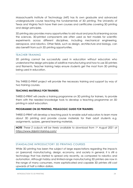Massachusetts Institute of Technology (MIT) has its own graduate and advanced undergraduate course teaching the fundamentals of 3D printing. The University of Texas and Virginia Tech have their own courses and certificates covering 3D printing and design principles.

3D printing also provides many opportunities to aid visual and practical learning across the sciences. 3D-printed components are often used as test models for scientific experiments across different disciplines, including mechanical engineering, aerospace, and robotics. Other fields, such as design, architecture and biology, can also benefit from such 3D printing opportunities.

# <span id="page-23-0"></span>TEACHER TRAINING

3D printing cannot be successfully used in education without educators who understand the design principles of additive manufacturing and how to use 3D printers and filaments. Teacher training helps ensure students get the most from 3D printing being used in education.

This THREE-D-PRINT project will provide the necessary training and support by way of two training courses.

# **TEACHING MATERIALS FOR TRAINERS:**

THREE-D-PRINT will create a training programme on 3D printing for trainers, to provide them with the needed knowledge tools to develop a teaching programme on 3D printing in adult education.

# **PROGRAMME ON 3D PRINTING, PEDAGOGIC GUIDE FOR TRAINERS:**

THREE-D-PRINT will develop a teaching pack to enable adult educators to learn more about 3D printing and provide course materials for their adult students e.g. assignments, quizzes, general learning materials.

*NOTE: These 2 outputs will be freely available to download from 1st August 2021 at <https://www.3dprint-training.com/>*

# <span id="page-23-1"></span>STANDALONE INTRODUCTORY 3D PRINTING COURSES

While 3D printing has been the subject of large expectations regarding the impacts on (personal) manufacturing, design, economy, and society in general, it is still a technology that has started to spread only recently, as compared to robotics and automation. Although hobby and limited-range manufacturing 3D printers are now in the range of many consumers, more sophisticated and capable 3D printers still cost upwards of half a million dollars.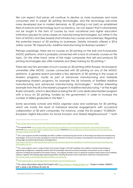We can expect that prices will continue to decline as more businesses and more consumers start to adopt 3D printing technologies, and the technology becomes more developed due to market demands. As 3D printing is not (yet) an established field of science and technology (such as robotics), we can expect that it will probably not be taught in the form of courses by most vocational and higher education institutions (except for some classes on manufacturing technologies), but rather in the form of MOOCs and (fee-based) short introductory courses and workshops. Regarding the potential impact of 3D printing on businesses, Deloite University offered a 2016 online course "3D Opportunity: Additive Manufacturing for Business Leaders".<sup>9</sup>

Perhaps surprisingly, there are no courses on 3D printing on the edX and FutureLearn MOOC platforms, which is probably connected with a lack of university courses on the topic. On the other hand, some of the major companies that sell and produce 3D printing technologies also offer materials and (free) training for 3D printing.<sup>10</sup>

There are very few providers of such courses on 3D printing within Europe. No European universities offer MOOC courses connected with 3D printing on any of the MOOC platforms. A general search provided a few elements of 3D printing in the scope of Master's programs, mostly as part of advanced manufacturing and materials engineering Master's programs, for example the UK University of Sheffield Additive manufacturing and advanced manufacturing technologies.<sup>11</sup> Another interesting example from the UK is the Master's program in Additive Manufacturing <sup>12</sup> at the Anglia Ruskin University, which is described as being the UK's only dedicated Masters program with a focus on 3D printing, funded by the government, in order to increase the number of skilled graduates in this field <sup>13</sup>.

Some secondary schools and NGOs organize clubs and workshops for 3D printing, which are mostly the result of individual teacher engagements with occasional collaboration of 3D print companies. For instance, under the EU project "E-DESIGN - European Digital Education for Social Inclusion and Global Neighbourhood" <sup>14</sup> both

<sup>&</sup>lt;sup>9</sup> <https://www.class-central.com/mooc/2240/novoed-3d-opportunity-additive-manufacturing-for-business-leaders>

<sup>10</sup> For example iMak[r https://www.imakr.com/en/training-consulting-for-3d-printing/710-introduction-3d-printing-training.html;](https://www.imakr.com/en/training-consulting-for-3d-printing/710-introduction-3d-printing-training.html)  GoPrint3[D https://www.goprint3d.co.uk/3d-printer-training/;](https://www.goprint3d.co.uk/3d-printer-training/) RoboSavv[y https://robosavvy.com/store/welcome-to-the-world-of-3d](https://robosavvy.com/store/welcome-to-the-world-of-3d-printing-training-course.html)[printing-training-course.html;](https://robosavvy.com/store/welcome-to-the-world-of-3d-printing-training-course.html) etc.

 $11$  The 1-year program provides knowledge and skills in additive manufacturing (also known as 3D printing) and advanced manufacturing technologies. The course has been developed to meet the demands of industry and expose new graduates and professional engineers to cutting-edge manufacturing techniques and applications.

[http://www.sheffield.ac.uk/postgraduate/taught/courses/engineering/mechanical/additive-manufacturing-advanced-manufacturing](http://www.sheffield.ac.uk/postgraduate/taught/courses/engineering/mechanical/additive-manufacturing-advanced-manufacturing-technologies-msc-res)[technologies-msc-res](http://www.sheffield.ac.uk/postgraduate/taught/courses/engineering/mechanical/additive-manufacturing-advanced-manufacturing-technologies-msc-res)

 $12$  The 1-year program covers a range of topics from product design to 3D CAD modelling, from additive manufacturing strategy to engineering management, equipping students with the knowledge required to produce prototypes and products across a range of industries including the biomedical and aviation sectors. The program provides access to advanced computer based analysis and modelling software, together with leading-edge engineering facilities including 3D printers and a metal direct metal laser sintering machine. <http://www.anglia.ac.uk/study/postgraduate/additive-manufacturing>

<sup>13</sup> <http://www.anglia.ac.uk/news/government-funding-for-new-3d-printing-course>

<sup>&</sup>lt;sup>14</sup> For more information about the Project visi[t https://www.e-designproject.eu/](https://www.e-designproject.eu/) - Project number: 604451-EPP-1-2018-1-DE-EPPKA3-IPI-SOC-IN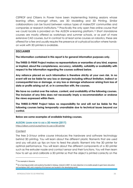CEPROF and Citizens In Power have been implementing training sessions whose learning offers, amongst others, are 3D Modelling and 3D Printing. Similar collaborations can be found between various types of maker/DIY communities and companies or research institutions.<sup>15</sup> Practically the only open free online course that we could locate is provided on the ALISON e-learning platform.<sup>16</sup> Short standalone courses are mostly offered as workshops and summer schools, or as part of more extensive CAD courses, but in contrast to at least some courses on robotics, these are offered for a fee and usually require the presence at a physical location where handson work with 3D printers is available.

# **DISCLAIMER**

**The information contained in this report is for general information purposes only.** 

**The THREE-D-PRINT Project makes no representations or warranties of any kind, express or implied, about the completeness, accuracy, reliability, suitability or availability with respect to the information regarding the courses outlined below.**

**Any reliance placed on such information is therefore strictly at your own risk. In no event will we be liable for any loss or damage including without limitation, indirect or consequential loss or damage, or any loss or damage whatsoever arising from loss of data or profits arising out of, or in connection with, the courses.** 

**We have no control over the nature, content, and availability of the following courses. The inclusion of any links does not necessarily imply a recommendation or endorse the views expressed within them.** 

**The THREE-D-PRINT Project takes no responsibility for and will not be liable for the following courses being temporarily unavailable due to technical issues beyond our control.**

#### **Below are some examples of available training courses.**

**ALISON: LEARN HOW TO USE A 3D PRINTER (2017)**

<https://alison.com/course/how-to-use-a-3D-printer>

#### **Content**

The free 2–3-hour online course introduces the hardware and software technology behind 3D printing. You will learn about the different plastic filaments that are used and you will pick up tips on how to feed the plastic filament into the 3D printer for optimal performance. You will learn about the different components of a 3D printer such as the extruder nozzle and contact sensor and their functions. You will then learn how to set up and calibrate a 3D printer so that the object is printed correctly on the

<sup>&</sup>lt;sup>15</sup> For example in Slovenia

 $16$  An e-learning provider and academy founded in Galway, Ireland in 2007. Its main objective is to enable people to gain basic education and workplace skill, and a majority of its learners are located in the developing world.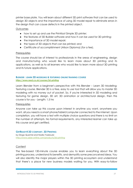printer base plate. You will learn about different 3D print software that can be used to design 3D objects and the importance of using 3D model repair to eliminate errors in the design that can cause defects in the printed object.

# **Outcomes**

- how to set up and use the Printrbot Simple 3D printer;
- the features of 3D Builder software and how it can be used for 3D printing;
- the importance of 3D model repair;
- the types of 3D objects that can be printed; and
- Certificate of accomplishment (Alison Diploma) (for a fee).

#### **Prerequisites**

The course should be of interest to professionals in the areas of engineering, design and manufacturing who would like to learn more about 3D printing and its applications, as well as to all learners who would like to learn more about 3D printing and its future applications.

# **BLENDER : LEARN 3D MODELING & TEXTURING ONLINE TRAINING COURSE <https://www.reed.co.uk/courses/3d-printing>**

Learn Blender from a beginner's perspective with this Blender – Learn 3D Modeling; Texturing course. Blender 3D is a free, easy to use tool that will allow you to master 3D modeling with no money out of pocket. So, if you're interested in 3D modeling and texturing for game design, 3D art, 3D animation or architectural design, then this course is for you - Length: 1.5 hrs

#### **Prerequisites**

Anyone can take up this course upon interest in anytime you want, anywhere you want, all you need is a smart phone/tablet/computer connected to the internet. Upon completion, you will have a test with multiple choice questions and there is no limit on the number of attempts. No formal requirements, any interested learner can take up this course and get certified.

#### **GETREADY4 3D COMPANY. 3D PRINTING**

by Diogo Quental and Nadia Yaakoubi <http://www.sabe-online.com/products/3d-printing>

#### **Content**

The fee-based 130-minute course enables you to learn everything about the 3D printing process, understand its benefits, and demystify some preconceived ideas. You will also identify the major players within the 3D printing ecosystem and understand that there's a place for new business models waiting for you. With easy-to-follow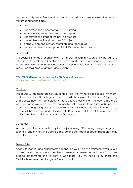segments and plenty of real-world examples, you will learn how to take advantage of this amazing technology.

# **Outcomes**

- understand the fundamentals of 3D printing;
- know the 3D printing process and ecosystem;
- understand the steps of the printing process;
- materialise your idea into a real 3D object;
- distinguish among printers, materials, and techniques;
- understand the business potential of 3D printing technology.

# **Prerequisites**

The course is intended for anyone with an interest in 3D printing, anyone who wants to take advantage of the 3D printing business opportunities, professionals and business leaders who want to understand this new industrial revolution as well as the potential impact on their area of activity, and students.

# **COURSERA (UNIVERSITY OF ILLINOIS - THE 3D PRINTING REVOLUTION**

<https://www.coursera.org/learn/3d-printing-revolution>

# **Content**

This course will demonstrate how 3D printers work, show what people make with them, and examine the 3D printing ecosystem. It will also explore the future of 3D printing and discuss how this technology will revolutionize our world. The course materials include informative video lectures, on-location interviews with a variety of 3D printing experts and engaging hands-on exercises. Learners who complete this introductory course will have a solid understanding of 3D printing and its revolutionary potential and will be able to print and customize 3D designs.

# **Outcomes**

You will be able to create physical objects using 3D printing design programs, scanners, and printers. The Course is free, but the certificate of accomplishment is only available for a fee.

# **Prerequisites**

Access to lectures and assignments depends on your type of enrolment. If you take a course in audit mode, you will be able to see most course materials for free. To access graded assignments and to earn a Certificate, you will need to purchase the Certificate experience, during or after your audit.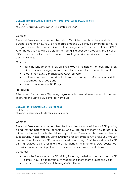#### **UDEMY: HOW TO START 3D PRINTING AT HOME - EVEN WITHOUT A 3D PRINTER** by Jason King <https://www.udemy.com/introduction-to-3d-printing-at-home/>

# **Content**

The short fee-based course teaches what 3D printers are, how they work, how to purchase one and how to use it to create amazing 3D prints. It demonstrates how to design a simple chess piece using two free design tools, Tinkercad and OpenSCAD. After the course you will be able to start designing your own products. This is not an MOOC course, but an online course consisting of videos, slides and on screen demonstrations.

# **Outcomes**

- learn the fundamentals of 3D printing including the history, methods, kinds of 3D printers, how to design your own models and share them around the world;
- create their own 3D models using CAD software;
- explore new business models that take advantage of 3D printing and the customizability aspect; and
- how to monetize your 3D Designs.

# **Prerequisites**

This course is for complete 3D printing beginners who are curious about what's involved in buying and using a 3D printer for home use.

# **UDEMY: THE FUNDAMENTALS OF 3D PRINTING**

by Jeffrey Ito <https://www.udemy.com/fundamentals-of-3d-printing/>

# **Content**

The short fee-based course teaches the basic terms and definitions of 3D printing along with the history of the technology. One will be able to learn how to use a 3D printer and learn its potential future applications. There are also case studies on successful businesses already using 3D printing for customization. We take you through the creation of your own 3D model and walk you through 3 of the most popular 3D printing services to print, sell and share your design. This is not an MOOC course, but an online course consisting of videos, slides and on screen demonstrations.

# **Outcomes**

- learn the fundamentals of 3D printing including the history, methods, kinds of 3D printers, how to design your own models and share them around the world;
- create their own 3D models using CAD software;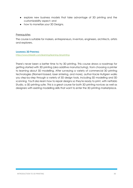- explore new business models that take advantage of 3D printing and the customizability aspect; and
- how to monetize your 3D Designs.

## **Prerequisites**

The course is suitable for makers, entrepreneurs, inventors, engineers, architects, artists and explorers.

#### **LEARNING 3D PRINTING**

<https://www.linkedin.com/learning/learning-3d-printing>

There's never been a better time to try 3D printing. This course draws a roadmap for getting started with 3D printing (aka additive manufacturing), from choosing a printer to learning about 3D modelling. After surveying a variety of commercial 3D printing technologies (filament-based, laser sintering, and more), author Kacie Hultgren walks you step-by-step through a variety of 3D design tools, including 3D modelling and 3D scanning. You'll also learn how to repair designs so they're ready to print, with netfabb Studio, a 3D printing suite. This is a great course for both 3D printing novices as well as designers with existing modelling skills that want to enter the 3D printing marketplace.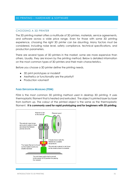# <span id="page-30-0"></span>3D PRINTING – HARDWARE & SOFTWARE

#### <span id="page-30-1"></span>CHOOSING A 3D PRINTER

The 3D printing market offers a multitude of 3D printers, materials, service agreements, and software across a wide price range. Even for those with some 3D printing experience, choosing the right 3D printer can be daunting. Many factors must be considered, including noise level, safety compliance, technical specifications, and production parameters.

There are several types of 3D printers in the market, some are more expensive than others. Usually, they are known by the printing method. Below is detailed information on the most common types of 3D printers and their main characteristics.

Before you choose a 3D printer define the printing needs.

- 3D print prototypes or models?
- Aesthetics or functionality are the priority?
- Production volumes?

#### **FUSED DEPOSITION MODELING (FDM)**

FDM is the most common 3D printing method used in desktop 3D printing. It uses thermoplastic filament that is heated and extruded. The object is printed layer by layer from bottom up. The colour of the printed object is the same as the thermoplastic filament. **It is commonly used for rapid prototyping and for beginners with 3D printing**.

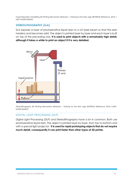*Fused Deposition Modelling 3D Printing Mechanism (Robotics – Training for the New Age (ROTENA) Reference: 2016-1- UK01-KA202-024437)*

# <span id="page-31-0"></span>**STEREOLITHOGRAPHY (SLA)**

SLA exposes a layer of photosensitive liquid resin to a UV-laser beam so that the resin hardens and becomes solid. The object is printed layer by layer and each layer is built on top of the preceding one. **It is used to print objects with a remarkably high detail, although it takes a while to print an object if it is very detailed.**



*Stereolithography 3D Printing Mechanism (Robotics – Training for the New Age (ROTENA) Reference: 2016-1-UK01- KA202-024437)*

# <span id="page-31-1"></span>DIGITAL LIGHT PROCESSING (DLP)

Digital Light Processing (DLP) and Stereolithography have a lot in common. Both use photosensitive liquid resin. The object is printed layer by layer, from top to bottom and with a special light projector. **It is used for rapid prototyping objects that do not require much detail, consequently it can print faster than other types of 3D printer.**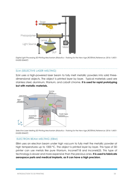

*Digital Light Processing 3D Printing Mechanism (Robotics – Training for the New Age (ROTENA) Reference: 2016-1-UK01- KA202-024437)*

# <span id="page-32-0"></span>SLM (SELECTIVE LASER MELTING)

SLM uses a high-powered laser beam to fully melt metallic powders into solid threedimensional objects. The object is printed layer by layer. Typical materials used are stainless steel, aluminum, titanium, and cobalt chrome. **It is used for rapid prototyping but with metallic materials.** 



*Selective Laser Melting 3D Printing Mechanism (Robotics – Training for the New Age (ROTENA) Reference: 2016-1-UK01- KA202-024437)*

#### <span id="page-32-1"></span>ELECTRON BEAM MELTING (EBM)

EBM uses an electron beam under high vacuum to fully melt the metallic powder at high temperatures up to 1000 °C. The object is printed layer by layer. This type of 3D printer can use metals like pure titanium, Inconel718 and Inconel625. This type of technology is slower and more expensive than the previous ones. **It is used to fabricate aerospace parts and medical implants, as it can have a high precision.**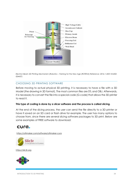

*Electron Beam 3D Printing Mechanism (Robotics – Training for the New Age (ROTENA) Reference: 2016-1-UK01-KA202- 024437)*

# <span id="page-33-0"></span>CHOOSING 3D PRINTING SOFTWARE

Before moving to actual physical 3D printing, it is necessary to have a file with a 3D Model (the drawing in 3D format). The most common files are STL and OBJ. Afterwards, it is necessary to convert the file into a special code (G-code) that allows the 3D printer to read it.

# **This type of coding is done by a slicer software and the process is called slicing.**

At the end of the slicing process, the user can send the file directly to a 3D printer or have it saved on an SD card or flash drive for example. The user has many options to choose from, since there are several slicing software packages to 3D print. Below are some examples of FREE software to download:

# cura.

<https://ultimaker.com/software/ultimaker-cura>



[https://slic3r.org](https://slic3r.org/) 

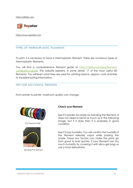[https://all3dp.com](https://all3dp.com/) 



[https://www.repetier.com](https://www.repetier.com/)

# <span id="page-34-0"></span>TYPES OF THERMOPLASTIC FILAMENTS

To print, it is necessary to have a thermoplastic filament. There are numerous types of thermoplastic filaments.

You will find a comprehensive filament guide at [https://rigid.ink/pages/filament](https://rigid.ink/pages/filament-comparison-guide)[comparison-guide.](https://rigid.ink/pages/filament-comparison-guide) The website explains, in some detail, 17 of the most useful 3D filaments. You will learn what they are used for, printing advice, approx. costs and links to troubleshooting information.

### <span id="page-34-1"></span>TIPS FOR SUCCESSFUL PRINTING

From printer to printer, maximum quality can change.



PLA Filament Rolls



Bending PLA Filament

#### **Check your filament.**

See if it breaks too easily by bending the filament. It does not need to bend as much as in the following image, but if it does then it is probably in good condition.

See if it has humidity. You will confirm the humidity if the filament releases vapor while passing the nozzle. These two factors can make the prints go from good to bad quickly. If your filament has too much humidity try covering it with silica gel bags or use a food dehydrator.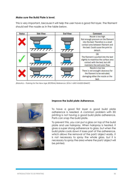#### **Make sure the Build Plate is level.**

This is very important, because it will help the user have a good first layer. The filament should exit the nozzle as in the table below.

| <b>Status</b> | <b>Side View</b> | <b>End View</b> | Comment                                                                                                                                                                              |
|---------------|------------------|-----------------|--------------------------------------------------------------------------------------------------------------------------------------------------------------------------------------|
|               |                  | 7777            | Nozzle is too high<br>Not enough pressure on the filament<br>into the bed. Therefore is a small<br>contact area between filament and<br>the bed. Could cause the print to<br>detach. |
|               | 77777777.        | 7777            | ок<br>The filament is pushed into the bed<br>slightly to maximise the surface area<br>contact with the bed, but still<br>maintains the extrusion flow.                               |
|               | 7777777.         |                 | Nozzle is too low<br>There is not enought clearance for<br>the filament to be extruded,<br>damaging either the nozzle or the<br>bed.                                                 |

*(Robotics – Training for the New Age (ROTENA) Reference: 2016-1-UK01-KA202-024437)*





# **Improve the build plate Adherence.**

To have a good first layer a good build plate adherence is needed. A common problem with 3D printing is not having a good build plate adherence. Parts can snap the build plate.

To prevent this, you can put a glass on top of the build plate and use hairspray. When hairspray is heated, it gives a super strong adherence to glass, but when the build plate cools down it loses part of the adherence, which allows the removal of the part/ object easily. It is not necessary to spray the whole glass, but it is necessary to spray the area where the part/ object will be printed.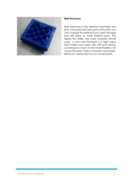

# **Wall thickness**

Wall thickness is the distance between the limit of the print and the start of the infill. You can change this setting if you want stronger and stiff parts or more flexible parts. The higher the stiffer, the more material will be used. 2 mm wall thickness is a high value and makes your parts very stiff and strong. Lowering too much to be more flexible can cause the part/ object to break more easily. Minimum values are 0.8 mm for example.